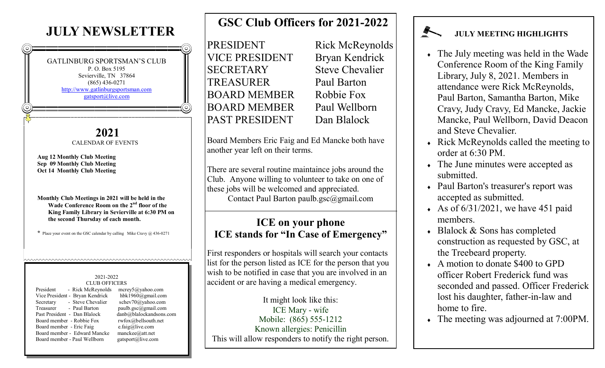# **JULY NEWSLETTER**

GATLINBURG SPORTSMAN'S CLUB P. O. Box 5195 Sevierville, TN 37864 (865) 436-0271 <http://www.gatlinburgsportsman.com> [gatsport@live.com](mailto:gatsport@live.com)

> **2021** CALENDAR OF EVENTS

**Aug 12 Monthly Club Meeting Sep 09 Monthly Club Meeting Oct 14 Monthly Club Meeting**

**Monthly Club Meetings in 2021 will be held in the Wade Conference Room on the 2nd floor of the King Family Library in Sevierville at 6:30 PM on the second Thursday of each month.**

**\*** Place your event on the GSC calendar by calling Mike Cravy @ 436-0271

hunuwwwwwwwwwwwwwwwwwwwwwww

#### 2021-2022 CLUB OFFICERS

| President<br>- Rick McReynolds  |  |
|---------------------------------|--|
| Vice President - Bryan Kendrick |  |
| - Steve Chevalier<br>Secretary  |  |
| Treasurer<br>- Paul Barton      |  |
| Past President - Dan Blalock    |  |
| Board member - Robbie Fox       |  |
| Board member - Eric Faig        |  |
| Board member - Edward Mancke    |  |
| Board member - Paul Wellborn    |  |
|                                 |  |

 $merey5@yahoo.com$  $hbk1960@gmail.com$ schev70@yahoo.com  $paulb.gsc@gmail.com$ danb@blalockandsons.com rwfox@bellsouth.net  $e.faig@live.com$  $m$ anckee@att.net gatsport@live.com

# **GSC Club Officers for 2021-2022**

PRESIDENT Rick McReynolds VICE PRESIDENT Bryan Kendrick SECRETARY Steve Chevalier TREASURER Paul Barton BOARD MEMBER Robbie Fox BOARD MEMBER Paul Wellborn PAST PRESIDENT Dan Blalock

Board Members Eric Faig and Ed Mancke both have another year left on their terms.

There are several routine maintaince jobs around the Club. Anyone willing to volunteer to take on one of these jobs will be welcomed and appreciated. Contact Paul Barton paulb.gsc@gmail.com

## **ICE on your phone ICE stands for "In Case of Emergency"**

First responders or hospitals will search your contacts list for the person listed as ICE for the person that you wish to be notified in case that you are involved in an accident or are having a medical emergency.

It might look like this: ICE Mary - wife Mobile: (865) 555-1212 Known allergies: Penicillin This will allow responders to notify the right person.

### **JULY MEETING HIGHLIGHTS**

- The July meeting was held in the Wade Conference Room of the King Family Library, July 8, 2021. Members in attendance were Rick McReynolds, Paul Barton, Samantha Barton, Mike Cravy, Judy Cravy, Ed Mancke, Jackie Mancke, Paul Wellborn, David Deacon and Steve Chevalier.
- Rick McReynolds called the meeting to order at  $6:30$  PM.
- The June minutes were accepted as submitted.
- Paul Barton's treasurer's report was accepted as submitted.
- As of  $6/31/2021$ , we have 451 paid members.
- Blalock & Sons has completed construction as requested by GSC, at the Treebeard property.
- A motion to donate \$400 to GPD officer Robert Frederick fund was seconded and passed. Officer Frederick lost his daughter, father-in-law and home to fire.
- The meeting was adjourned at 7:00PM.